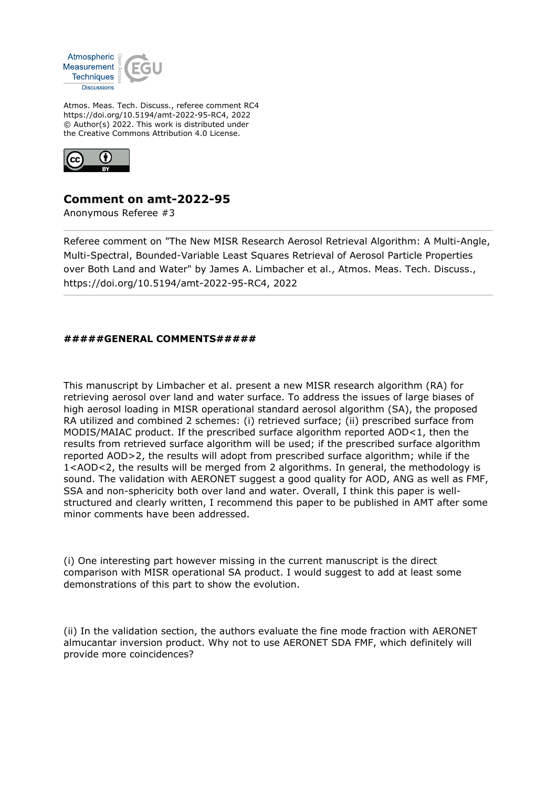

Atmos. Meas. Tech. Discuss., referee comment RC4 https://doi.org/10.5194/amt-2022-95-RC4, 2022 © Author(s) 2022. This work is distributed under the Creative Commons Attribution 4.0 License.



## **Comment on amt-2022-95**

Anonymous Referee #3

Referee comment on "The New MISR Research Aerosol Retrieval Algorithm: A Multi-Angle, Multi-Spectral, Bounded-Variable Least Squares Retrieval of Aerosol Particle Properties over Both Land and Water" by James A. Limbacher et al., Atmos. Meas. Tech. Discuss., https://doi.org/10.5194/amt-2022-95-RC4, 2022

## **#####GENERAL COMMENTS#####**

This manuscript by Limbacher et al. present a new MISR research algorithm (RA) for retrieving aerosol over land and water surface. To address the issues of large biases of high aerosol loading in MISR operational standard aerosol algorithm (SA), the proposed RA utilized and combined 2 schemes: (i) retrieved surface; (ii) prescribed surface from MODIS/MAIAC product. If the prescribed surface algorithm reported AOD<1, then the results from retrieved surface algorithm will be used; if the prescribed surface algorithm reported AOD>2, the results will adopt from prescribed surface algorithm; while if the 1<AOD<2, the results will be merged from 2 algorithms. In general, the methodology is sound. The validation with AERONET suggest a good quality for AOD, ANG as well as FMF, SSA and non-sphericity both over land and water. Overall, I think this paper is wellstructured and clearly written, I recommend this paper to be published in AMT after some minor comments have been addressed.

(i) One interesting part however missing in the current manuscript is the direct comparison with MISR operational SA product. I would suggest to add at least some demonstrations of this part to show the evolution.

(ii) In the validation section, the authors evaluate the fine mode fraction with AERONET almucantar inversion product. Why not to use AERONET SDA FMF, which definitely will provide more coincidences?